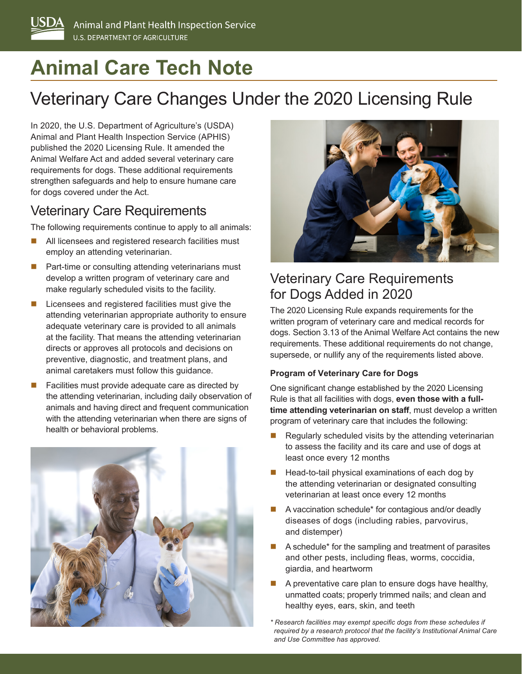# **Animal Care Tech Note**

## Veterinary Care Changes Under the 2020 Licensing Rule

In 2020, the U.S. Department of Agriculture's (USDA) Animal and Plant Health Inspection Service (APHIS) published the 2020 Licensing Rule. It amended the Animal Welfare Act and added several veterinary care requirements for dogs. These additional requirements strengthen safeguards and help to ensure humane care for dogs covered under the Act.

### Veterinary Care Requirements

The following requirements continue to apply to all animals:

- All licensees and registered research facilities must employ an attending veterinarian.
- **Part-time or consulting attending veterinarians must** develop a written program of veterinary care and make regularly scheduled visits to the facility.
- **Licensees and registered facilities must give the** attending veterinarian appropriate authority to ensure adequate veterinary care is provided to all animals at the facility. That means the attending veterinarian directs or approves all protocols and decisions on preventive, diagnostic, and treatment plans, and animal caretakers must follow this guidance.
- Facilities must provide adequate care as directed by the attending veterinarian, including daily observation of animals and having direct and frequent communication with the attending veterinarian when there are signs of health or behavioral problems.





### Veterinary Care Requirements for Dogs Added in 2020

The 2020 Licensing Rule expands requirements for the written program of veterinary care and medical records for dogs. Section 3.13 of the Animal Welfare Act contains the new requirements. These additional requirements do not change, supersede, or nullify any of the requirements listed above.

#### **Program of Veterinary Care for Dogs**

One significant change established by the 2020 Licensing Rule is that all facilities with dogs, **even those with a fulltime attending veterinarian on staff**, must develop a written program of veterinary care that includes the following:

- Regularly scheduled visits by the attending veterinarian to assess the facility and its care and use of dogs at least once every 12 months
- $\blacksquare$  Head-to-tail physical examinations of each dog by the attending veterinarian or designated consulting veterinarian at least once every 12 months
- A vaccination schedule\* for contagious and/or deadly diseases of dogs (including rabies, parvovirus, and distemper)
- A schedule\* for the sampling and treatment of parasites and other pests, including fleas, worms, coccidia, giardia, and heartworm
- A preventative care plan to ensure dogs have healthy, unmatted coats; properly trimmed nails; and clean and healthy eyes, ears, skin, and teeth

*\* Research facilities may exempt specific dogs from these schedules if required by a research protocol that the facility's Institutional Animal Care and Use Committee has approved.*